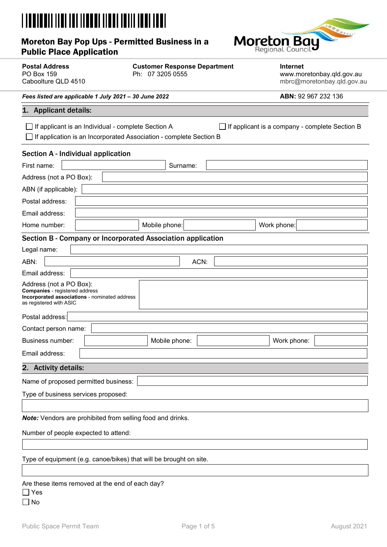| Moreton Bay Pop Ups - Permitted Business in a<br><b>Public Place Application</b> | <b>Moreton Bay</b> |
|----------------------------------------------------------------------------------|--------------------|

| <b>Postal Address</b><br><b>PO Box 159</b><br>Caboolture QLD 4510                                                                                                          | <b>Customer Response Department</b><br>Ph: 07 3205 0555 | <b>Internet</b><br>www.moretonbay.qld.gov.au<br>mbrc@moretonbay.gld.gov.au |  |  |  |
|----------------------------------------------------------------------------------------------------------------------------------------------------------------------------|---------------------------------------------------------|----------------------------------------------------------------------------|--|--|--|
| Fees listed are applicable 1 July 2021 - 30 June 2022                                                                                                                      |                                                         | ABN: 92 967 232 136                                                        |  |  |  |
| 1. Applicant details:                                                                                                                                                      |                                                         |                                                                            |  |  |  |
|                                                                                                                                                                            |                                                         |                                                                            |  |  |  |
| If applicant is a company - complete Section B<br>If applicant is an Individual - complete Section A<br>If application is an Incorporated Association - complete Section B |                                                         |                                                                            |  |  |  |
|                                                                                                                                                                            |                                                         |                                                                            |  |  |  |
| Section A - Individual application                                                                                                                                         |                                                         |                                                                            |  |  |  |
| First name:                                                                                                                                                                | Surname:                                                |                                                                            |  |  |  |
| Address (not a PO Box):                                                                                                                                                    |                                                         |                                                                            |  |  |  |
| ABN (if applicable):                                                                                                                                                       |                                                         |                                                                            |  |  |  |
| Postal address:                                                                                                                                                            |                                                         |                                                                            |  |  |  |
| Email address:                                                                                                                                                             |                                                         |                                                                            |  |  |  |
| Home number:                                                                                                                                                               | Mobile phone:                                           | Work phone:                                                                |  |  |  |
| Section B - Company or Incorporated Association application                                                                                                                |                                                         |                                                                            |  |  |  |
| Legal name:                                                                                                                                                                |                                                         |                                                                            |  |  |  |
| ABN:                                                                                                                                                                       | ACN:                                                    |                                                                            |  |  |  |
| Email address:                                                                                                                                                             |                                                         |                                                                            |  |  |  |
| Address (not a PO Box):<br><b>Companies</b> - registered address<br>Incorporated associations - nominated address<br>as registered with ASIC                               |                                                         |                                                                            |  |  |  |
| Postal address:                                                                                                                                                            |                                                         |                                                                            |  |  |  |
| Contact person name:                                                                                                                                                       |                                                         |                                                                            |  |  |  |
| Business number:                                                                                                                                                           | Mobile phone:                                           | Work phone:                                                                |  |  |  |
| Email address:                                                                                                                                                             |                                                         |                                                                            |  |  |  |
| 2. Activity details:                                                                                                                                                       |                                                         |                                                                            |  |  |  |
| Name of proposed permitted business:                                                                                                                                       |                                                         |                                                                            |  |  |  |
| Type of business services proposed:                                                                                                                                        |                                                         |                                                                            |  |  |  |
|                                                                                                                                                                            |                                                         |                                                                            |  |  |  |
| Note: Vendors are prohibited from selling food and drinks.                                                                                                                 |                                                         |                                                                            |  |  |  |
| Number of people expected to attend:                                                                                                                                       |                                                         |                                                                            |  |  |  |
|                                                                                                                                                                            |                                                         |                                                                            |  |  |  |
|                                                                                                                                                                            |                                                         |                                                                            |  |  |  |
| Type of equipment (e.g. canoe/bikes) that will be brought on site.                                                                                                         |                                                         |                                                                            |  |  |  |
|                                                                                                                                                                            |                                                         |                                                                            |  |  |  |
| Are these items removed at the end of each day?<br>Yes<br>No                                                                                                               |                                                         |                                                                            |  |  |  |
|                                                                                                                                                                            |                                                         |                                                                            |  |  |  |

 $\bullet$  ...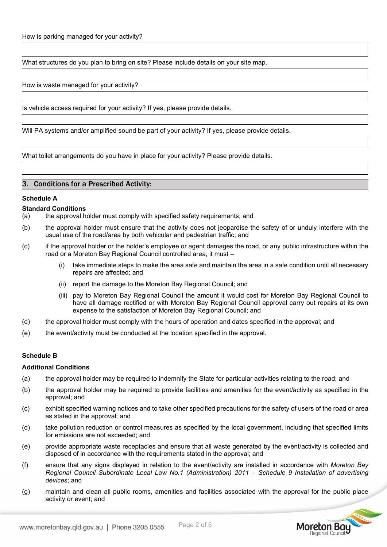What structures do you plan to bring on site? Please include details on your site map.

How is waste managed for your activity?

Is vehicle access required for your activity? If yes, please provide details.

Will PA systems and/or amplified sound be part of your activity? If yes, please provide details.

What toilet arrangements do you have in place for your activity? Please provide details.

#### 3. Conditions for a Prescribed Activity:

#### **Schedule A**

#### **Standard Conditions**

- (a) the approval holder must comply with specified safety requirements; and
- (b) the approval holder must ensure that the activity does not jeopardise the safety of or unduly interfere with the usual use of the road/area by both vehicular and pedestrian traffic; and
- (c) if the approval holder or the holder's employee or agent damages the road, or any public infrastructure within the road or a Moreton Bay Regional Council controlled area, it must –
	- (i) take immediate steps to make the area safe and maintain the area in a safe condition until all necessary repairs are affected; and
	- (ii) report the damage to the Moreton Bay Regional Council; and
	- (iii) pay to Moreton Bay Regional Council the amount it would cost for Moreton Bay Regional Council to have all damage rectified or with Moreton Bay Regional Council approval carry out repairs at its own expense to the satisfaction of Moreton Bay Regional Council; and
- (d) the approval holder must comply with the hours of operation and dates specified in the approval; and
- (e) the event/activity must be conducted at the location specified in the approval.

#### **Schedule B**

#### **Additional Conditions**

- (a) the approval holder may be required to indemnify the State for particular activities relating to the road; and
- (b) the approval holder may be required to provide facilities and amenities for the event/activity as specified in the approval; and
- (c) exhibit specified warning notices and to take other specified precautions for the safety of users of the road or area as stated in the approval; and
- (d) take pollution reduction or control measures as specified by the local government, including that specified limits for emissions are not exceeded; and
- (e) provide appropriate waste receptacles and ensure that all waste generated by the event/activity is collected and disposed of in accordance with the requirements stated in the approval; and
- (f) ensure that any signs displayed in relation to the event/activity are installed in accordance with *Moreton Bay Regional Council Subordinate Local Law No.1 (Administration) 2011 – Schedule 9 Installation of advertising devices*; and
- (g) maintain and clean all public rooms, amenities and facilities associated with the approval for the public place activity or event; and

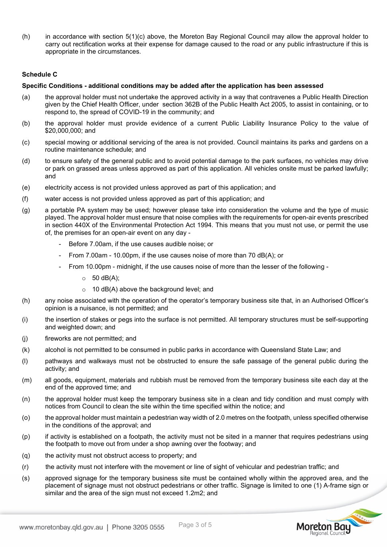(h) in accordance with section 5(1)(c) above, the Moreton Bay Regional Council may allow the approval holder to carry out rectification works at their expense for damage caused to the road or any public infrastructure if this is appropriate in the circumstances.

### **Schedule C**

#### **Specific Conditions - additional conditions may be added after the application has been assessed**

- (a) the approval holder must not undertake the approved activity in a way that contravenes a Public Health Direction given by the Chief Health Officer, under section 362B of the Public Health Act 2005, to assist in containing, or to respond to, the spread of COVID-19 in the community; and
- (b) the approval holder must provide evidence of a current Public Liability Insurance Policy to the value of \$20,000,000; and
- (c) special mowing or additional servicing of the area is not provided. Council maintains its parks and gardens on a routine maintenance schedule; and
- (d) to ensure safety of the general public and to avoid potential damage to the park surfaces, no vehicles may drive or park on grassed areas unless approved as part of this application. All vehicles onsite must be parked lawfully; and
- (e) electricity access is not provided unless approved as part of this application; and
- (f) water access is not provided unless approved as part of this application; and
- (g) a portable PA system may be used; however please take into consideration the volume and the type of music played. The approval holder must ensure that noise complies with the requirements for open-air events prescribed in section 440X of the Environmental Protection Act 1994. This means that you must not use, or permit the use of, the premises for an open-air event on any day -
	- Before 7.00am, if the use causes audible noise; or
	- From 7.00am 10.00pm, if the use causes noise of more than 70 dB(A); or
	- From 10.00pm midnight, if the use causes noise of more than the lesser of the following
		- $\circ$  50 dB(A);
		- $\circ$  10 dB(A) above the background level; and
- (h) any noise associated with the operation of the operator's temporary business site that, in an Authorised Officer's opinion is a nuisance, is not permitted; and
- (i) the insertion of stakes or pegs into the surface is not permitted. All temporary structures must be self-supporting and weighted down; and
- (j) fireworks are not permitted; and
- (k) alcohol is not permitted to be consumed in public parks in accordance with Queensland State Law; and
- (l) pathways and walkways must not be obstructed to ensure the safe passage of the general public during the activity; and
- (m) all goods, equipment, materials and rubbish must be removed from the temporary business site each day at the end of the approved time; and
- (n) the approval holder must keep the temporary business site in a clean and tidy condition and must comply with notices from Council to clean the site within the time specified within the notice; and
- (o) the approval holder must maintain a pedestrian way width of 2.0 metres on the footpath, unless specified otherwise in the conditions of the approval; and
- (p) if activity is established on a footpath, the activity must not be sited in a manner that requires pedestrians using the footpath to move out from under a shop awning over the footway; and
- (q) the activity must not obstruct access to property; and
- (r) the activity must not interfere with the movement or line of sight of vehicular and pedestrian traffic; and
- (s) approved signage for the temporary business site must be contained wholly within the approved area, and the placement of signage must not obstruct pedestrians or other traffic. Signage is limited to one (1) A-frame sign or similar and the area of the sign must not exceed 1.2m2; and

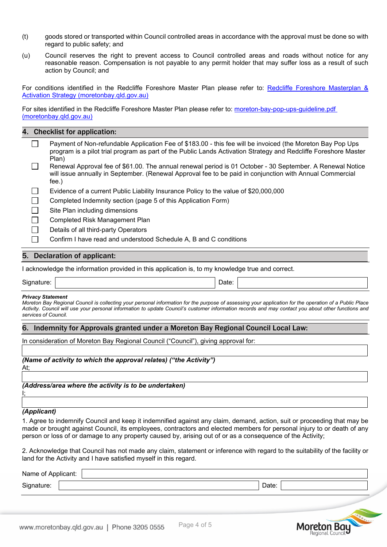- (t) goods stored or transported within Council controlled areas in accordance with the approval must be done so with regard to public safety; and
- (u) Council reserves the right to prevent access to Council controlled areas and roads without notice for any reasonable reason. Compensation is not payable to any permit holder that may suffer loss as a result of such action by Council; and

For conditions identified in the Redcliffe Foreshore Master Plan please refer to: [Redcliffe Foreshore Masterplan &](https://www.moretonbay.qld.gov.au/files/assets/public/services/publications/redcliffe-foreshore-master-plan.pdf)  [Activation Strategy \(moretonbay.qld.gov.au\)](https://www.moretonbay.qld.gov.au/files/assets/public/services/publications/redcliffe-foreshore-master-plan.pdf)

For sites identified in the Redcliffe Foreshore Master Plan please refer to: [moreton-bay-pop-ups-guideline.pdf](https://www.moretonbay.qld.gov.au/files/assets/public/services/licence-regulations/moreton-bay-pop-ups-guideline.pdf)  [\(moretonbay.qld.gov.au\)](https://www.moretonbay.qld.gov.au/files/assets/public/services/licence-regulations/moreton-bay-pop-ups-guideline.pdf)

|  |  |  | 4. Checklist for application: |
|--|--|--|-------------------------------|
|--|--|--|-------------------------------|

- $\Box$ Payment of Non-refundable Application Fee of \$183.00 - this fee will be invoiced (the Moreton Bay Pop Ups program is a pilot trial program as part of the Public Lands Activation Strategy and Redcliffe Foreshore Master Plan)
- Renewal Approval fee of \$61.00. The annual renewal period is 01 October 30 September. A Renewal Notice  $\Box$ will issue annually in September. (Renewal Approval fee to be paid in conjunction with Annual Commercial fee.)
- Evidence of a current Public Liability Insurance Policy to the value of \$20,000,000
- Completed Indemnity section (page 5 of this Application Form)
- Site Plan including dimensions
- Completed Risk Management Plan
- Details of all third-party Operators
- Confirm I have read and understood Schedule A, B and C conditions

#### 5. Declaration of applicant:

I acknowledge the information provided in this application is, to my knowledge true and correct.

Signature: | Date: | Date: | Date: | Date: | Date: | Date: | Date: | Date: | Date: | Date: | Date: | Date: | Date: | Date: | Date: | Date: | Date: | Date: | Date: | Date: | Date: | Date: | Date: | Date: | Date: | Date: | D

#### *Privacy Statement*

*Moreton Bay Regional Council is collecting your personal information for the purpose of assessing your application for the operation of a Public Place*  Activity. Council will use your personal information to update Council's customer information records and may contact you about other functions and *services of Council.*

### 6. Indemnity for Approvals granted under a Moreton Bay Regional Council Local Law:

In consideration of Moreton Bay Regional Council ("Council"), giving approval for:

*(Name of activity to which the approval relates) ("the Activity")* At;

*(Address/area where the activity is to be undertaken)*

# *(Applicant)*

I;

1. Agree to indemnify Council and keep it indemnified against any claim, demand, action, suit or proceeding that may be made or brought against Council, its employees, contractors and elected members for personal injury to or death of any person or loss of or damage to any property caused by, arising out of or as a consequence of the Activity;

2. Acknowledge that Council has not made any claim, statement or inference with regard to the suitability of the facility or land for the Activity and I have satisfied myself in this regard.

| Name of,   | * Applicant: |                   |
|------------|--------------|-------------------|
| Signature: |              | $\Gamma$<br>Dale: |